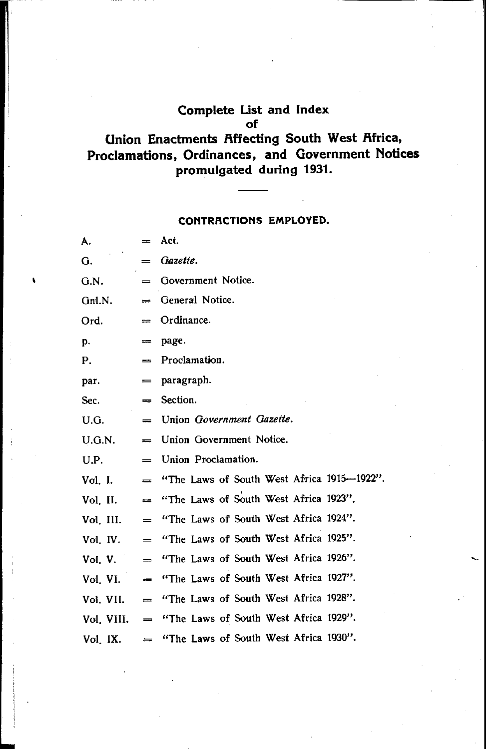#### **Complete List and Index of**

# **Onion Enactments Rffecting South West Rfrica, Proclamations, Ordinances, and Government Notices promulgated during 1931.**

#### **CONTRACTIONS EMPLOYED.**

| А.         | $=$                                   | Act.                                       |
|------------|---------------------------------------|--------------------------------------------|
| G.         | $=$                                   | Gazette.                                   |
| G.N.       | $=$                                   | Government Notice.                         |
| Gn1.N.     | $=$                                   | General Notice.                            |
| Ord.       | $=$                                   | Ordinance.                                 |
| p.         | $=$                                   | page.                                      |
| Р.         | $=$                                   | Proclamation.                              |
| par.       | $\qquad \qquad =\qquad$               | paragraph.                                 |
| Sec.       | $=$                                   | Section.                                   |
| U.G.       | $=$                                   | Union Government Gazette.                  |
| U.G.N.     | $=$                                   | Union Government Notice.                   |
| U.P.       | $=$                                   | Union Proclamation.                        |
| Vol. I.    | $=$                                   | "The Laws of South West Africa 1915-1922". |
| Vol. II.   | $=$                                   | "The Laws of South West Africa 1923".      |
| Vol. III.  | $\qquad \qquad =$                     | "The Laws of South West Africa 1924".      |
| Vol. IV.   | $=$                                   | "The Laws of South West Africa 1925".      |
| Vol. V.    | $\qquad \qquad =$                     | "The Laws of South West Africa 1926".      |
| Vol. VI.   | $=$                                   | "The Laws of South West Africa 1927".      |
| Vol. VII.  | $\equiv$                              | "The Laws of South West Africa 1928".      |
| Vol. VIII. | $\qquad \qquad \qquad =\qquad \qquad$ | "The Laws of South West Africa 1929".      |
| Vol. IX.   |                                       | "The Laws of South West Africa 1930".      |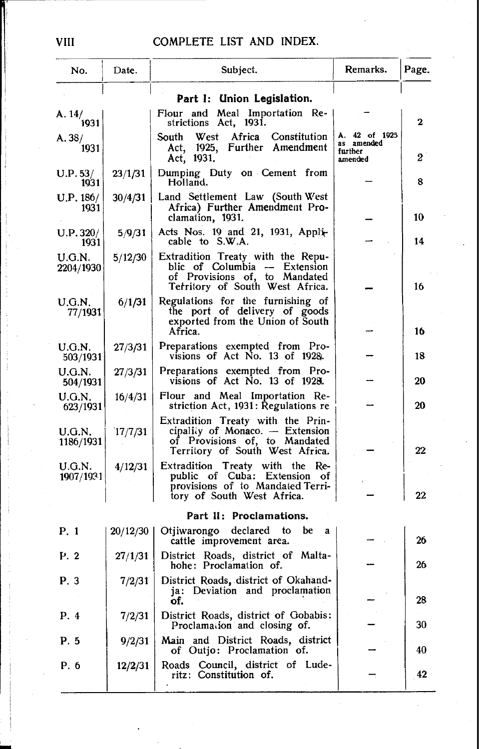| No.                      | Date.    | Subject.                                                                                                                                 | Remarks.                                          | Page. |
|--------------------------|----------|------------------------------------------------------------------------------------------------------------------------------------------|---------------------------------------------------|-------|
|                          |          | Part I: Union Legislation.                                                                                                               |                                                   |       |
| A. $14/$ <sub>1931</sub> |          | Flour and Meal Importation Re-<br>strictions Act, 1931.                                                                                  |                                                   | 2     |
| A.38/<br>1931            |          | West Africa<br>Constitution<br>South<br>Act, 1925, Further Amendment<br>Act, 1931.                                                       | A. 42 of 1925<br>as amended<br>further<br>amended | 2     |
| U.P.53/<br>1931          | 23/1/31  | Dumping Duty on Cement from<br>Holland.                                                                                                  |                                                   | 8     |
| U.P. 186/<br>1931        | 30/4/31  | Land Settlement Law (South West<br>Africa) Further Amendment Pro-<br>clamation, 1931.                                                    |                                                   | 10    |
| U.P.320/<br>1931         | 5/9/31   | Acts Nos. 19 and 21, 1931, Appli-<br>cable to S.W.A.                                                                                     |                                                   | 14    |
| U.G.N.<br>2204/1930      | 5/12/30  | Extradition Treaty with the Repu-<br>blic of Columbia - Extension<br>of Provisions of, to Mandated<br>Territory of South West Africa.    |                                                   | 16    |
| U.G.N.<br>77/1931        | 6/1/31   | Regulations for the furnishing of<br>the port of delivery of goods<br>exported from the Union of South<br>Africa.                        |                                                   | 16    |
| U.G.N.<br>503/1931       | 27/3/31  | Preparations exempted from Pro-<br>visions of Act No. 13 of 1928.                                                                        |                                                   | 18    |
| U.G.N.<br>504/1931       | 27/3/31  | Preparations exempted from Pro-<br>visions of Act No. 13 of 1928.                                                                        |                                                   | 20    |
| U.G.N.<br>623/1931       | 16/4/31  | Flour and Meal Importation Re-<br>striction Act, 1931: Regulations re                                                                    |                                                   | 20    |
| U.G.N.<br>1186/1931      | 17/7/31  | Extradition Treaty with the Prin-<br>cipality of Monaco. - Extension<br>of Provisions of, to Mandated<br>Territory of South West Africa. |                                                   | 22    |
| U.G.N.<br>1907/1931      | 4/12/31  | Extradition Treaty with the Re-<br>public of Cuba: Extension of<br>provisions of to Mandated Terri-<br>tory of South West Africa.        |                                                   | 22    |
|                          |          | Part II: Proclamations.                                                                                                                  |                                                   |       |
| P. 1                     | 20/12/30 | declared to<br>Otjiwarongo<br>be<br>a,<br>cattle improvement area.                                                                       |                                                   | 26    |
| P. 2                     | 27/1/31  | District Roads, district of Malta-<br>hohe: Proclamation of.                                                                             |                                                   | 26    |
| P. 3                     | 7/2/31   | District Roads, district of Okahand-<br>ja: Deviation and proclamation<br>of.                                                            |                                                   | 28    |
| P. 4                     | 7/2/31   | District Roads, district of Gobabis:<br>Proclamation and closing of.                                                                     |                                                   | 30    |
| P. 5                     | 9/2/31   | Main and District Roads, district<br>of Outjo: Proclamation of.                                                                          |                                                   | 40    |
| P. 6                     | 12/2/31  | Roads Council, district of Lude-<br>ritz: Constitution of.                                                                               |                                                   | 42    |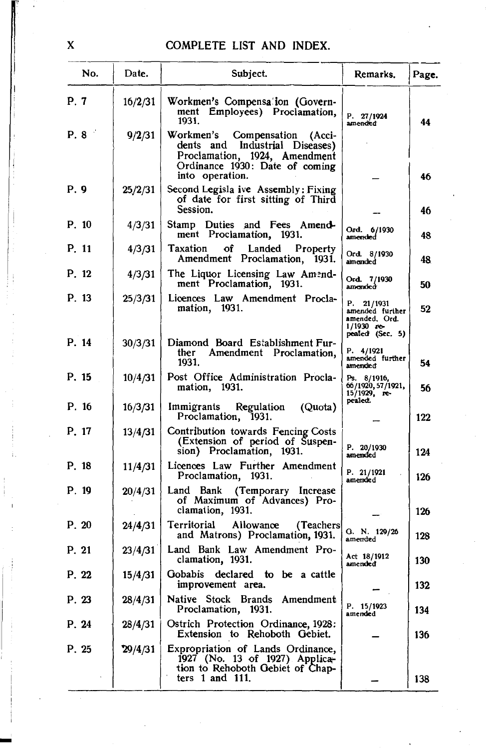| No.   | Date.   | Subject.                                                                                                                                                 | Remarks.                                                                        | Page. |
|-------|---------|----------------------------------------------------------------------------------------------------------------------------------------------------------|---------------------------------------------------------------------------------|-------|
| P. 7  | 16/2/31 | Workmen's Compensation (Govern-<br>ment Employees) Proclamation,<br>1931.                                                                                | P. 27/1924<br>amended                                                           | 44    |
| P. 8  | 9/2/31  | Workmen's Compensation (Acci-<br>dents and<br>Industrial Diseases)<br>Proclamation, 1924, Amendment<br>Ordinance 1930: Date of coming<br>into operation. |                                                                                 | 46    |
| P. 9  | 25/2/31 | Second Legisla ive Assembly: Fixing<br>of date for first sitting of Third<br>Session.                                                                    |                                                                                 | 46    |
| P. 10 | 4/3/31  | Stamp Duties and Fees Amend-<br>ment Proclamation, 1931.                                                                                                 | Ord. 6/1930<br>amended                                                          | 48    |
| P. 11 | 4/3/31  | Taxation<br>Landed<br>оf<br>Property<br>Amendment Proclamation, 1931.                                                                                    | Ord. 8/1930<br>amended                                                          | 48    |
| P. 12 | 4/3/31  | The Liquor Licensing Law Amend-<br>ment Proclamation, 1931.                                                                                              | Ord. 7/1930<br>amended                                                          | 50    |
| P. 13 | 25/3/31 | Licences Law Amendment Procla-<br>mation, 1931.                                                                                                          | P. 21/1931<br>amended further<br>amended, Ord.<br>1/1930 re-<br>pealed (Sec. 5) | 52    |
| P. 14 | 30/3/31 | Diamond Board Establishment Fur-<br>ther<br>Amendment Proclamation,<br>1931.                                                                             | P. 4/1921<br>amended further<br>amended                                         | 54    |
| P. 15 | 10/4/31 | Post Office Administration Procla-<br>mation, 1931.                                                                                                      | Ps. 8/1916,<br>66/1920, 57/1921,<br>15/1929, re-                                | 56    |
| P. 16 | 16/3/31 | Immigrants Regulation<br>(Quota)<br>Proclamation, 1931.                                                                                                  | pealed.                                                                         | 122   |
| P. 17 | 13/4/31 | Contribution towards Fencing Costs<br>(Extension of period of Suspen-<br>sion) Proclamation, 1931.                                                       | P. 20/1930<br>amended                                                           | 124   |
| P. 18 | 11/4/31 | Licences Law Further Amendment<br>Proclamation, 1931.                                                                                                    | P. 21/1921<br>amended                                                           | 126   |
| P. 19 | 20/4/31 | Land Bank (Temporary Increase<br>of Maximum of Advances) Pro-<br>clamation, 1931.                                                                        |                                                                                 | 126   |
| P. 20 | 24/4/31 | Allowance<br>Territorial<br>(Teachers)<br>and Matrons) Proclamation, 1931.                                                                               | G. N. 129/26<br>amended                                                         | 128   |
| P. 21 | 23/4/31 | Land Bank Law Amendment Pro-<br>clamation, 1931.                                                                                                         | Act 18/1912<br>amended                                                          | 130   |
| P. 22 | 15/4/31 | <b>Gobabis</b><br>declared<br>to be a cattle<br>improvement area.                                                                                        |                                                                                 | 132   |
| P. 23 | 28/4/31 | Native Stock<br>Brands Amendment<br>Proclamation,<br>1931.                                                                                               | P. 15/1923<br>amended                                                           | 134   |
| P. 24 | 28/4/31 | Ostrich Protection Ordinance, 1928:<br>Extension to Rehoboth Gebiet.                                                                                     |                                                                                 | 136   |
| P. 25 | 29/4/31 | Expropriation of Lands Ordinance,<br>1927 (No. 13 of 1927) Applica-<br>tion to Rehoboth Gebiet of Chap-<br>ters $1$ and $111$ .                          |                                                                                 | 138   |

 $\mathbf{\bar{X}}$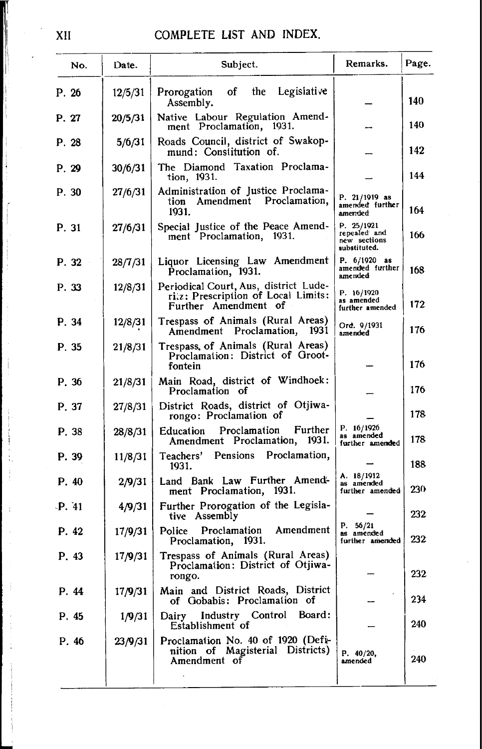# XII COMPLETE UST AND INDEX.

| No.   | Date.   | Subject.                                                                                            | Remarks.                                                   | Page. |
|-------|---------|-----------------------------------------------------------------------------------------------------|------------------------------------------------------------|-------|
| P. 26 | 12/5/31 | Legislative<br>the<br>Prorogation of<br>Assembly.                                                   |                                                            | 140   |
| P. 27 | 20/5/31 | Native Labour Regulation Amend-<br>ment Proclamation, 1931.                                         |                                                            | 140   |
| P. 28 | 5/6/31  | Roads Council, district of Swakop-<br>mund: Constitution of.                                        |                                                            | 142   |
| P. 29 | 30/6/31 | The Diamond Taxation Proclama-<br>tion, 1931.                                                       |                                                            | 144   |
| P. 30 | 27/6/31 | Administration of Justice Proclama-<br>tion Amendment Proclamation,<br>1931.                        | P. 21/1919 as<br>amended further<br>amended                | 164   |
| P. 31 | 27/6/31 | Special Justice of the Peace Amend-<br>ment Proclamation, 1931.                                     | P. 25/1921<br>repealed and<br>new sections<br>substituted. | 166   |
| P. 32 | 28/7/31 | Liquor Licensing Law Amendment<br>Proclamation, 1931.                                               | P. $6/1920$ as<br>amended further<br>amended               | 168   |
| P. 33 | 12/8/31 | Periodical Court, Aus, district Lude-<br>riz: Prescription of Local Limits:<br>Further Amendment of | P. 16/1920<br>as amended<br>further amended                | 172   |
| P. 34 | 12/8/31 | Trespass of Animals (Rural Areas)<br>Amendment Proclamation, 1931                                   | Ord. 9/1931<br>amended                                     | 176   |
| P. 35 | 21/8/31 | Trespass, of Animals (Rural Areas)<br>Proclamation: District of Groot-<br>fontein                   |                                                            | 176   |
| P. 36 | 21/8/31 | Main Road, district of Windhoek:<br>Proclamation of                                                 |                                                            | 176   |
| P. 37 | 27/8/31 | District Roads, district of Otjiwa-<br>rongo: Proclamation of                                       |                                                            | 178   |
| P. 38 | 28/8/31 | Further<br>Proclamation<br>Education<br>Amendment Proclamation, 1931.                               | P. 16/1926<br>as amended<br>further amended                | 178   |
| P. 39 | 11/8/31 | Teachers' Pensions Proclamation,<br>1931.                                                           |                                                            | 188   |
| P. 40 | 2/9/31  | Land Bank Law Further Amend-<br>ment Proclamation, 1931.                                            | A. 18/1912<br>as amended<br>further amended                | 230   |
| P.41  | 4/9/31  | Further Prorogation of the Legisla-<br>tive Assembly                                                |                                                            | 232   |
| P. 42 | 17/9/31 | Amendment<br>Police Proclamation<br>Proclamation, 1931.                                             | P. 56/21<br>as amended<br>further amended                  | 232   |
| P. 43 | 17/9/31 | Trespass of Animals (Rural Areas)<br>Proclamation: District of Otjiwa-<br>rongo.                    |                                                            | 232   |
| P. 44 | 17/9/31 | Main and District Roads, District<br>of Gobabis: Proclamation of                                    |                                                            | 234   |
| P. 45 | 1/9/31  | Industry Control<br>Board:<br>Dairy<br>Establishment of                                             |                                                            | 240   |
| P. 46 | 23/9/31 | Proclamation No. 40 of 1920 (Defi-<br>nition of Magisterial Districts)<br>Amendment of              | P. 40/20,<br>amended                                       | 240   |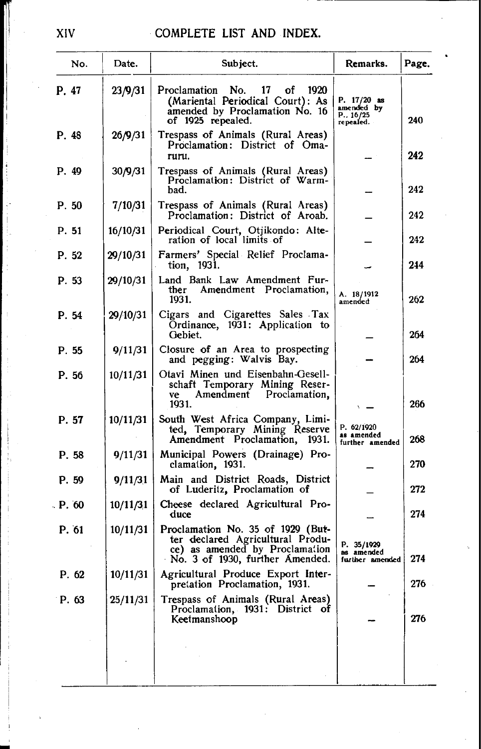| No.     | Date.    | Subject.                                                                                                                                   | Remarks.                                               | Page. |
|---------|----------|--------------------------------------------------------------------------------------------------------------------------------------------|--------------------------------------------------------|-------|
| P. 47   | 23/9/31  | Proclamation No.<br>17<br>of<br>1920<br>(Mariental Periodical Court): As<br>amended by Proclamation No. 16<br>of 1925 repealed.            | P. 17/20 as<br>amended by<br>P. . 16/25<br>repealed. . | 240   |
| P. 48   | 26/9/31  | Trespass of Animals (Rural Areas)<br>Proclamation: District of Oma-<br>ruru.                                                               |                                                        | 242   |
| P. 49   | 30/9/31  | Trespass of Animals (Rural Areas)<br>Proclamation: District of Warm-<br>bad.                                                               |                                                        | 242   |
| P. 50   | 7/10/31  | Trespass of Animals (Rural Areas)<br>Proclamation: District of Aroab.                                                                      |                                                        | 242   |
| P. 51   | 16/10/31 | Periodical Court, Otjikondo: Alte-<br>ration of local limits of                                                                            |                                                        | 242   |
| P. 52   | 29/10/31 | Farmers' Special Relief Proclama-<br>tion, 1931.                                                                                           |                                                        | 244   |
| P. 53   | 29/10/31 | Land Bank Law Amendment Fur-<br>Amendment Proclamation,<br>ther<br>1931.                                                                   | A. 18/1912<br>amended                                  | 262   |
| P. 54   | 29/10/31 | Cigars and Cigarettes Sales Tax<br>Ordinance, 1931: Application to<br>Gebiet.                                                              |                                                        | 264   |
| P. 55   | 9/11/31  | Closure of an Area to prospecting<br>and pegging: Walvis Bay.                                                                              |                                                        | 264   |
| P. 56   | 10/11/31 | Otavi Minen und Eisenbahn-Gesell-<br>schaft Temporary Mining Reser-<br>Amendment Proclamation,<br>ve<br>1931.                              |                                                        | 266   |
| P. 57   | 10/11/31 | South West Africa Company, Limi-<br>ted, Temporary Mining Reserve<br>Amendment Proclamation, 1931.                                         | P. 62/1920<br>as amended<br>further amended            | 268   |
| P. 58   | 9/11/31  | Municipal Powers (Drainage) Pro-<br>clamation, 1931.                                                                                       |                                                        | 270   |
| P. 59   | 9/11/31  | Main and District Roads, District<br>of Luderitz, Proclamation of                                                                          |                                                        | 272   |
| - P. 60 | 10/11/31 | Cheese declared Agricultural Pro-<br>duce                                                                                                  |                                                        | 274   |
| P. 61   | 10/11/31 | Proclamation No. 35 of 1929 (But-<br>ter declared Agricultural Produ-<br>ce) as amended by Proclamation<br>No. 3 of 1930, further Amended. | P. 35/1929<br>as amended<br>further amended            | 274   |
| P. 62   |          | 10/11/31   Agricultural Produce Export Inter-<br>pretation Proclamation, 1931.                                                             |                                                        | 276   |
| P. 63   | 25/11/31 | Trespass of Animals (Rural Areas)<br>Proclamation, 1931: District of<br>Keetmanshoop                                                       |                                                        | 276   |
|         |          |                                                                                                                                            |                                                        |       |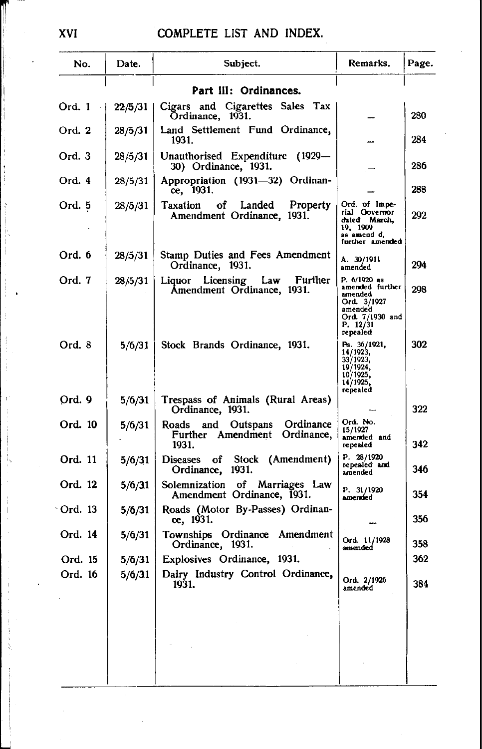| No.     | Date.   | Subject.                                                                       | Remarks.                                                                                                        | Page. |
|---------|---------|--------------------------------------------------------------------------------|-----------------------------------------------------------------------------------------------------------------|-------|
|         |         | Part III: Ordinances.                                                          |                                                                                                                 |       |
| Ord. 1  | 22/5/31 | Cigars and Cigarettes Sales Tax<br>Ordinance, 1931.                            |                                                                                                                 | 280   |
| Ord. 2  | 28/5/31 | Land Settlement Fund Ordinance,<br>1931.                                       |                                                                                                                 | 284   |
| Ord. 3  | 28/5/31 | Unauthorised Expenditure (1929—<br>30) Ordinance, 1931.                        |                                                                                                                 | 286   |
| Ord. 4  | 28/5/31 | Appropriation (1931-32) Ordinan-<br>ce, 1931.                                  |                                                                                                                 | 288   |
| Ord. 5  | 28/5/31 | Taxation<br>of Landed<br>Property<br>Amendment Ordinance, 1931.                | Ord. of Impe-<br>rial Governor<br>dated March,<br>19, 1909<br>as amend d,<br>further amended                    | 292   |
| Ord. 6  | 28/5/31 | Stamp Duties and Fees Amendment<br>Ordinance, 1931.                            | A. 30/1911<br>amended                                                                                           | 294   |
| Ord. 7  | 28/5/31 | Liquor Licensing Law<br>Further<br>Amendment Ordinance, 1931.                  | P. 6/1920 as<br>amended further<br>amended<br>Ord. 3/1927<br>amended<br>Ord. 7/1930 and<br>P. 12/31<br>repealed | 298   |
| Ord. 8  | 5/6/31  | Stock Brands Ordinance, 1931.                                                  | Ps. 36/1921,<br>14/1923,<br>33/1923,<br>19/1924,<br>10/1925,<br>14/1925,<br>repealed                            | 302   |
| Ord. 9  | 5/6/31  | Trespass of Animals (Rural Areas)<br>Ordinance, 1931.                          |                                                                                                                 | 322   |
| Ord. 10 | 5/6/31  | Ordinance<br>Roads<br>and Outspans<br>Further Amendment<br>Ordinance,<br>1931. | Ord. No.<br>15/1927<br>amended and<br>repealed                                                                  | 342   |
| Ord. 11 | 5/6/31  | Diseases of Stock (Amendment)<br>Ordinance, 1931.                              | P. 28/1920<br>repealed and<br>amended                                                                           | 346   |
| Ord. 12 | 5/6/31  | Solemnization of Marriages Law<br>Amendment Ordinance, 1931.                   | P. 31/1920<br>amended                                                                                           | 354   |
| Ord. 13 | 5/6/31  | Roads (Motor By-Passes) Ordinan-<br>ce, 1931.                                  |                                                                                                                 | 356   |
| Ord. 14 | 5/6/31  | Townships Ordinance Amendment<br>Ordinance, 1931.                              | Ord. 11/1928<br>amended                                                                                         | 358   |
| Ord. 15 | 5/6/31  | Explosives Ordinance, 1931.                                                    |                                                                                                                 | 362   |
| Ord. 16 | 5/6/31  | Dairy Industry Control Ordinance,<br>1931.                                     | Ord. 2/1926<br>amended                                                                                          | 384   |
|         |         |                                                                                |                                                                                                                 |       |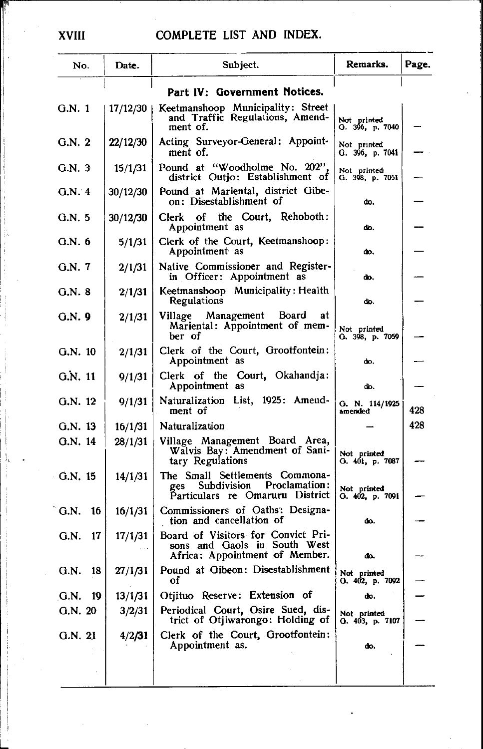| No.                          | Date.    | Subject.                                                                                                                           | Remarks.                       | Page. |
|------------------------------|----------|------------------------------------------------------------------------------------------------------------------------------------|--------------------------------|-------|
|                              |          | Part IV: Government Notices.                                                                                                       |                                |       |
| G.N. 1                       | 17/12/30 | Keetmanshoop Municipality: Street<br>and Traffic Regulations, Amend-<br>ment of.                                                   | Not printed<br>G. 396, p. 7040 |       |
| G.N.2                        | 22/12/30 | Acting Surveyor-General: Appoint-<br>ment of.                                                                                      | Not printed<br>G. 396, p. 7041 |       |
| G.N.3                        | 15/1/31  | Pound at "Woodholme No. 202",<br>district Outio: Establishment of                                                                  | Not printed<br>G. 398, p. 7051 |       |
| G.N. 4                       | 30/12/30 | Pound at Mariental, district Gibe-<br>on: Disestablishment of                                                                      | do.                            |       |
| G.N.5                        | 30/12/30 | Clerk of the Court, Rehoboth:<br>Appointment as                                                                                    | ďо.                            |       |
| G.N. 6                       | 5/1/31   | Clerk of the Court, Keetmanshoop:<br>Appointment as                                                                                | do.                            |       |
| G.N. 7                       | 2/1/31   | Native Commissioner and Register-<br>in Officer: Appointment as                                                                    | do.                            |       |
| G.N. 8                       | 2/1/31   | Keetmanshoop Municipality: Health<br>Regulations                                                                                   | do.                            |       |
| G.N. 9                       | 2/1/31   | Village Management<br>Board<br>at<br>Mariental: Appointment of mem-<br>ber of                                                      | Not printed<br>G. 398, p. 7059 |       |
| G.N. 10                      | 2/1/31   | Clerk of the Court, Grootfontein:<br>Appointment as                                                                                | do.                            |       |
| G.N. 11                      | 9/1/31   | Clerk of the Court, Okahandja:<br>Appointment as                                                                                   | do.                            |       |
| G.N. 12                      | 9/1/31   | Naturalization List, 1925: Amend-<br>ment of                                                                                       | G. N. 114/1925<br>amended      | 428   |
| G.N. 13                      | 16/1/31  | Naturalization                                                                                                                     |                                | 428   |
| G.N. 14                      | 28/1/31  | Village Management Board Area,<br>Walvis Bay: Amendment of Sani-<br>tary Regulations                                               | Not printed<br>G. 401, p. 7087 |       |
| G.N. 15                      | 14/1/31  | The Small Settlements Commona-<br>Proclamation:<br>Subdivision<br>ges Subdivision Proclamation:<br>Particulars re Omaruru District | Not printed<br>G. 402, p. 7091 |       |
| $\tilde{G}$ .N.<br>16        | 16/1/31  | Commissioners of Oaths: Designa-<br>tion and cancellation of                                                                       | ď٥.                            |       |
| G.N.<br>17                   | 17/1/31  | Board of Visitors for Convict Pri-<br>sons and Gaols in South West<br>Africa: Appointment of Member.                               | do.                            |       |
| G.N.<br>18                   | 27/1/31  | Pound at Gibeon: Disestablishment<br>οf                                                                                            | Not printed<br>O. 402, p. 7092 |       |
| $\mathbf{G}.\mathbf{N}$ . 19 | 13/1/31  | Otjituo Reserve: Extension of                                                                                                      | do.                            |       |
| G.N. 20                      | 3/2/31   | Periodical Court, Osire Sued, dis-<br>trict of Otjiwarongo: Holding of                                                             | Not printed<br>O. 403, p. 7107 |       |
| G.N. 21                      | 4/2/31   | Clerk of the Court, Grootfontein:<br>Appointment as.                                                                               | do.                            |       |
|                              |          |                                                                                                                                    |                                |       |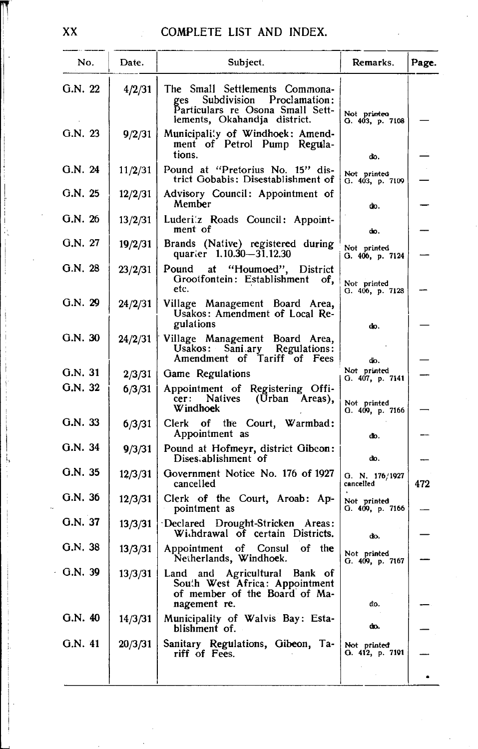| No.     | Date.   | Subject.                                                                                                                                  | Remarks.                       | Page. |
|---------|---------|-------------------------------------------------------------------------------------------------------------------------------------------|--------------------------------|-------|
| G.N. 22 | 4/2/31  | The Small Settlements Commona-<br>Proclamation:<br>Subdivision<br>ges<br>Particulars re Osona Small Sett-<br>lements, Okahandja district. | Not printeo<br>G. 403, p. 7108 |       |
| G.N. 23 | 9/2/31  | Municipality of Windhoek: Amend-<br>ment of Petrol Pump Regula-<br>tions.                                                                 | do.                            |       |
| G.N. 24 | 11/2/31 | Pound at "Pretorius No. 15" dis-<br>trict Gobabis: Disestablishment of                                                                    | Not printed<br>G. 403, p. 7109 |       |
| G.N. 25 | 12/2/31 | Advisory Council: Appointment of<br>Member                                                                                                | do.                            |       |
| G.N. 26 | 13/2/31 | Luderi'z Roads Council: Appoint-<br>ment of                                                                                               | do.                            |       |
| G.N. 27 | 19/2/31 | Brands (Native) registered during<br>quarter 1.10.30-31.12.30                                                                             | Not printed<br>G. 406, p. 7124 |       |
| G.N. 28 | 23/2/31 | Pound at "Houmoed", District<br>Grootfontein: Establishment<br>of,<br>etc.                                                                | Not printed<br>G. 406, p. 7128 |       |
| G.N. 29 | 24/2/31 | Village Management Board Area,<br>Usakos: Amendment of Local Re-<br>gulations                                                             | do.                            |       |
| G.N. 30 | 24/2/31 | Village Management Board Area,<br>Usakos: Sani.ary Regulations:<br>Amendment of Tariff of Fees                                            | do.                            |       |
| G.N. 31 | 2/3/31  | Game Regulations                                                                                                                          | Not printed<br>G. 407, p. 7141 |       |
| G.N. 32 | 6/3/31  | Appointment of Registering Offi-<br>Natives (Urban Areas),<br>cer:<br><b>Windhoek</b>                                                     | Not printed<br>G. 409, p. 7166 |       |
| G.N. 33 | 6/3/31  | Clerk of the Court, Warmbad:<br>Appointment as                                                                                            | do.                            |       |
| G.N. 34 | 9/3/31  | Pound at Hofmeyr, district Gibeon:<br>Dises ablishment of                                                                                 | do.                            |       |
| G.N.35  | 12/3/31 | Government Notice No. 176 of 1927<br>cancelled                                                                                            | G. N. 176/1927<br>cancelled    | 472   |
| G.N. 36 | 12/3/31 | Clerk of the Court, Aroab: Ap-<br>pointment as                                                                                            | Not printed<br>G. 409, p. 7166 |       |
| G.N. 37 | 13/3/31 | Declared Drought-Stricken Areas:<br>Withdrawal of certain Districts.                                                                      | đo.                            |       |
| G.N.38  | 13/3/31 | Appointment of Consul of the<br>Netherlands, Windhoek.                                                                                    | Not printed<br>G. 409, p. 7167 |       |
| G.N. 39 | 13/3/31 | Land and<br>Agricultural<br>Bank of<br>South West Africa: Appointment<br>of member of the Board of Ma-<br>nagement re.                    | đo.                            |       |
| G.N. 40 | 14/3/31 | Municipality of Walvis Bay: Esta-<br>blishment of.                                                                                        | do.                            |       |
| G.N. 41 | 20/3/31 | Sanitary Regulations, Gibeon, Ta-<br>riff of Fees.                                                                                        | Not printed<br>G. 412, p. 7191 |       |
|         |         |                                                                                                                                           |                                |       |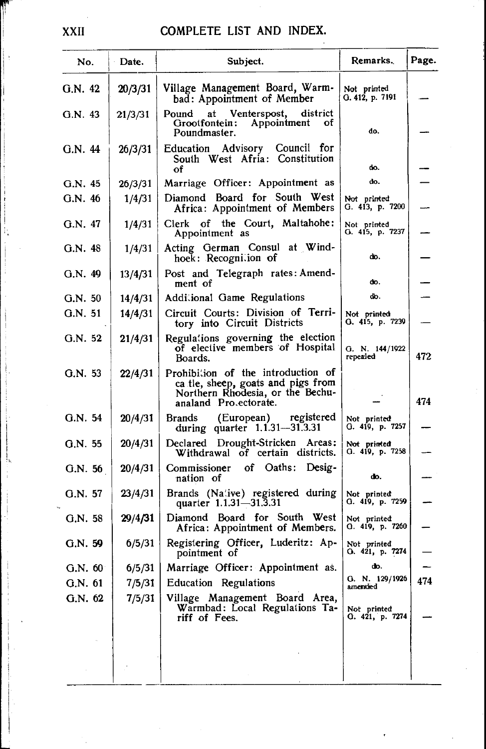| No.     | Date.   | Subject.                                                                                                                              | Remarks.                       | Page. |
|---------|---------|---------------------------------------------------------------------------------------------------------------------------------------|--------------------------------|-------|
| G.N. 42 | 20/3/31 | Village Management Board, Warm-<br>bad: Appointment of Member                                                                         | Not printed<br>G. 412, p. 7191 |       |
| G.N. 43 | 21/3/31 | Pound at Venterspost,<br>district<br>Appointment<br>Grootfontein:<br>оť<br>Poundmaster.                                               | do.                            |       |
| G.N. 44 | 26/3/31 | Education Advisory Council for<br>South West Afria: Constitution<br>оf                                                                | do.                            |       |
| G.N. 45 | 26/3/31 | Marriage Officer: Appointment as                                                                                                      | do.                            |       |
| G.N. 46 | 1/4/31  | Diamond Board for South West<br>Africa: Appointment of Members                                                                        | Not printed<br>G. 413, p. 7200 |       |
| G.N. 47 | 1/4/31  | Clerk of the Court, Maltahohe:<br>Appointment as                                                                                      | Not printed<br>G. 415, p. 7237 |       |
| G.N. 48 | 1/4/31  | Acting German Consul at Wind-<br>hoek: Recognition of                                                                                 | do.                            |       |
| G.N. 49 | 13/4/31 | Post and Telegraph rates: Amend-<br>ment of                                                                                           | do.                            |       |
| G.N.50  | 14/4/31 | Additional Game Regulations                                                                                                           | do.                            |       |
| G.N. 51 | 14/4/31 | Circuit Courts: Division of Terri-<br>tory into Circuit Districts                                                                     | Not printed<br>G. 415, p. 7239 |       |
| G.N. 52 | 21/4/31 | Regulations governing the election<br>of elective members of Hospital<br>Boards.                                                      | G. N. 144/1922<br>repealed     | 472   |
| G.N. 53 | 22/4/31 | Prohibition of the introduction of<br>ca tle, sheep, goats and pigs from<br>Northern Rhodesia, or the Bechu-<br>analand Pro ectorate. |                                | 474   |
| G.N. 54 | 20/4/31 | Brands (European) registered<br>during quarter $1.1.31 - 31.3.31$                                                                     | Not printed<br>G. 419, p. 7257 |       |
| G.N. 55 | 20/4/31 | Declared Drought-Stricken Areas:<br>Withdrawal of certain districts.                                                                  | Not printed<br>Q. 419, p. 7258 |       |
| G.N. 56 | 20/4/31 | Commissioner of Oaths: Desig-<br>nation of                                                                                            | do.                            |       |
| G.N. 57 | 23/4/31 | Brands (Na'ive) registered during<br>quarter 1.1.31-31.3.31                                                                           | Not printed<br>G. 419, p. 7259 |       |
| G.N. 58 | 29/4/31 | Diamond Board for South West<br>Africa: Appointment of Members.                                                                       | Not printed<br>G. 419, p. 7260 |       |
| G.N.59  | 6/5/31  | Registering Officer, Luderitz: Ap-<br>pointment of                                                                                    | Not printed<br>O. 421, p. 7274 |       |
| G.N. 60 | 6/5/31  | Marriage Officer: Appointment as.                                                                                                     | w.                             |       |
| G.N. 61 | 7/5/31  | Education Regulations                                                                                                                 | Q. N. 129/1926<br>amended      | 474   |
| G.N. 62 | 7/5/31  | Village Management Board Area,<br>Warmbad: Local Regulations Ta-<br>riff of Fees.                                                     | Not printed<br>G. 421, p. 7274 |       |
|         |         |                                                                                                                                       |                                |       |
|         |         |                                                                                                                                       |                                |       |

XXII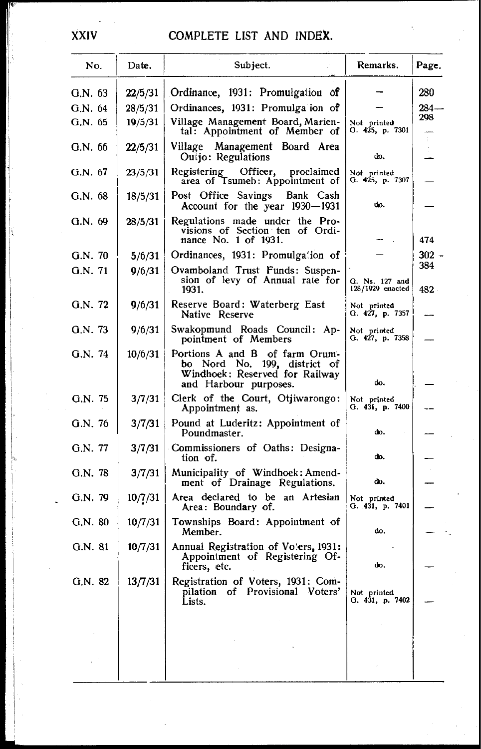| No.       | Date.   | Subject.                                                                                                                  | Remarks.                           | Page.        |
|-----------|---------|---------------------------------------------------------------------------------------------------------------------------|------------------------------------|--------------|
| G.N. 63   | 22/5/31 | Ordinance, 1931: Promulgation of                                                                                          |                                    | 280          |
| G.N. 64   | 28/5/31 | Ordinances, 1931: Promulga ion of                                                                                         |                                    | 284-         |
| G.N. 65   | 19/5/31 | Village Management Board, Marien-<br>tal: Appointment of Member of                                                        | Not printed<br>G. 425, p. 7301     | 298          |
| G.N.66    | 22/5/31 | Village Management Board Area<br>Outjo: Regulations                                                                       | do.                                |              |
| G.N. 67   | 23/5/31 | Registering<br>Officer,<br>proclaimed<br>area of Tsumeb: Appointment of                                                   | Not printed<br>G. 425, p. 7307     |              |
| G.N.68    | 18/5/31 | Post Office Savings<br>Bank Cash<br>Account for the year 1930-1931                                                        | do.                                |              |
| G.N. 69   | 28/5/31 | Regulations made under the Pro-<br>visions of Section ten of Ordi-<br>nance No. 1 of 1931.                                |                                    | 474          |
| G.N. 70   | 5/6/31  | Ordinances, 1931: Promulgation of                                                                                         |                                    | 302 -        |
| G.N. 71   | 9/6/31  | Ovamboland Trust Funds: Suspen-<br>sion of levy of Annual rate for<br>1931.                                               | G. Ns. 127 and<br>128/1929 enacted | 384<br>482 - |
| G.N. 72   | 9/6/31  | Reserve Board: Waterberg East<br>Native Reserve                                                                           | Not printed<br>G. 427, p. 7357     |              |
| G.N. 73   | 9/6/31  | Swakopmund Roads Council: Ap-<br>pointment of Members                                                                     | Not printed<br>G. 427, p. 7358     |              |
| G.N. 74   | 10/6/31 | Portions A and B of farm Orum-<br>bo Nord No. 199, district of<br>Windhoek: Reserved for Railway<br>and Harbour purposes. | do.                                |              |
| G.N. 75   | 3/7/31  | Clerk of the Court, Otjiwarongo:<br>Appointment as.                                                                       | Not printed<br>G. 431, p. 7400     |              |
| G.N. 76   | 3/7/31  | Pound at Luderitz: Appointment of<br>Poundmaster.                                                                         | dо.                                |              |
| G.N. 77   | 3/7/31  | Commissioners of Oaths: Designa-<br>tion of.                                                                              | do.                                |              |
| G.N. 78   | 3/7/31  | Municipality of Windhoek: Amend-<br>ment of Drainage Regulations.                                                         | do.                                |              |
| G.N. 79   | 10/7/31 | Area declared to be an Artesian<br>Area: Boundary of.                                                                     | Not printed<br>G. 431, p. 7401     |              |
| $G.N.$ 80 | 10/7/31 | Townships Board: Appointment of<br>Member.                                                                                | do.                                |              |
| G.N. 81   | 10/7/31 | Annual Registration of Voters, 1931:<br>Appointment of Registering Of-<br>ficers, etc.                                    | do.                                |              |
| G.N. 82   | 13/7/31 | Registration of Voters, 1931: Com-<br>pilation of Provisional Voters'<br>Lists.                                           | Not printed<br>O. 431, p. 7402     |              |
|           |         |                                                                                                                           |                                    |              |
|           |         |                                                                                                                           |                                    |              |

**XXIV**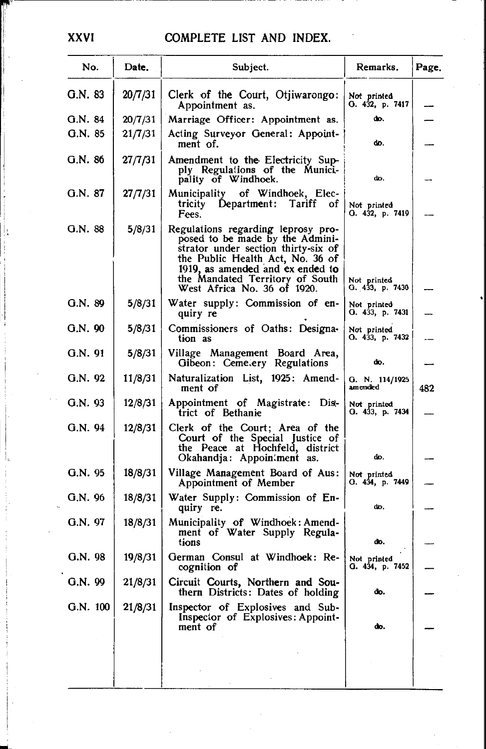| No.      | Date.   | Subject.                                                                                                                                                                                                                                               | Remarks.                       | Page. |
|----------|---------|--------------------------------------------------------------------------------------------------------------------------------------------------------------------------------------------------------------------------------------------------------|--------------------------------|-------|
| G.N. 83  | 20/7/31 | Clerk of the Court, Otjiwarongo:<br>Appointment as.                                                                                                                                                                                                    | Not printed<br>O. 432, p. 7417 |       |
| G.N. 84  | 20/7/31 | Marriage Officer: Appointment as.                                                                                                                                                                                                                      | do.                            |       |
| G.N. 85  | 21/7/31 | Acting Surveyor General: Appoint-<br>ment of.                                                                                                                                                                                                          | do.                            |       |
| G.N. 86  | 27/7/31 | Amendment to the Electricity Sup-<br>ply Regulations of the Munici-<br>pality of Windhoek.                                                                                                                                                             | do.                            |       |
| G.N. 87  | 27/7/31 | Municipality of Windhoek, Elec-<br>tricity Department:<br>Tariff<br>of<br>Fees.                                                                                                                                                                        | Not printed<br>O. 432, p. 7419 |       |
| G.N. 88  | 5/8/31  | Regulations regarding leprosy pro-<br>posed to be made by the Admini-<br>strator under section thirty-six of<br>the Public Health Act, No. 36 of<br>1919, as amended and ex ended to<br>the Mandated Territory of South<br>West Africa No. 36 of 1920. | Not printed<br>Q. 433, p. 7430 |       |
| G.N. 89  | 5/8/31  | Water supply: Commission of en-<br>quiry re                                                                                                                                                                                                            | Not printed<br>O. 433, p. 7431 |       |
| G.N. 90  | 5/8/31  | Commissioners of Oaths: Designa-<br>tion as                                                                                                                                                                                                            | Not printed<br>O. 433, p. 7432 |       |
| G.N. 91  | 5/8/31  | Village Management Board Area,<br>Gibeon: Cemetery Regulations                                                                                                                                                                                         | do.                            |       |
| G.N. 92  | 11/8/31 | Naturalization List, 1925: Amend-<br>ment of                                                                                                                                                                                                           | G. N. 114/1925<br>amended      | 482   |
| G.N. 93  | 12/8/31 | Appointment of Magistrate: Dis-<br>trict of Bethanie                                                                                                                                                                                                   | Not printed<br>O. 433, p. 7434 |       |
| G.N. 94  | 12/8/31 | Clerk of the Court; Area of the<br>Court of the Special Justice of<br>the Peace at Hochfeld, district<br>Okahandja: Appoin: ment as.                                                                                                                   | do.                            |       |
| G.N. 95  | 18/8/31 | Village Management Board of Aus:<br>Appointment of Member                                                                                                                                                                                              | Not printed<br>O. 434, p. 7449 |       |
| G.N. 96  | 18/8/31 | Water Supply: Commission of En-<br>quiry re.                                                                                                                                                                                                           | do.                            |       |
| G.N. 97  | 18/8/31 | Municipality of Windhoek: Amend-<br>ment of Water Supply Regula-<br>tions                                                                                                                                                                              | do.                            |       |
| G.N.98   | 19/8/31 | German Consul at Windhoek: Re-<br>cognition of                                                                                                                                                                                                         | Not printed<br>G. 434, p. 7452 |       |
| G.N. 99  | 21/8/31 | Circuit Courts, Northern and Sou-<br>thern Districts: Dates of holding                                                                                                                                                                                 | do.                            |       |
| G.N. 100 | 21/8/31 | Inspector of Explosives and Sub-<br>Inspector of Explosives: Appoint-<br>ment of                                                                                                                                                                       | do.                            |       |
|          |         |                                                                                                                                                                                                                                                        |                                |       |
|          |         |                                                                                                                                                                                                                                                        |                                |       |

**XXVI**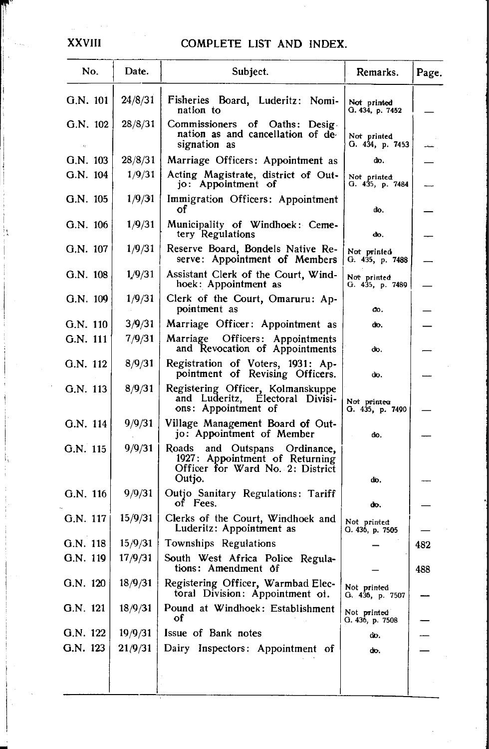| No.        | Date.   | Subject.                                                                                                         | Remarks.                       | Page. |
|------------|---------|------------------------------------------------------------------------------------------------------------------|--------------------------------|-------|
| G.N. 101   | 24/8/31 | Fisheries Board, Luderitz: Nomi-<br>nation to                                                                    | Not printed<br>G. 434, p. 7452 |       |
| $G.N.$ 102 | 28/8/31 | Commissioners of Oaths: Desig.<br>nation as and cancellation of de-<br>signation as                              | Not printed<br>О. 434, р. 7453 |       |
| G.N. 103   | 28/8/31 | Marriage Officers: Appointment as                                                                                | do.                            |       |
| G.N. 104   | 1/9/31  | Acting Magistrate, district of Out-<br>jo: Appointment of                                                        | Not printed<br>G. 435, p. 7484 |       |
| G.N. 105   | 1/9/31  | Immigration Officers: Appointment                                                                                | do.                            |       |
| G.N. 106   | 1/9/31  | Municipality of Windhoek: Ceme-<br>tery Regulations                                                              | dю.                            |       |
| G.N. 107   | 1/9/31  | Reserve Board, Bondels Native Re-<br>serve: Appointment of Members                                               | Not printed<br>G. 435, p. 7488 |       |
| G.N. 108   | 1/9/31  | Assistant Clerk of the Court, Wind-<br>hoek: Appointment as                                                      | Not printed<br>G. 435, p. 7489 |       |
| G.N. 109   | 1/9/31  | Clerk of the Court, Omaruru: Ap-<br>pointment as                                                                 | đo,                            |       |
| $G.N.$ 110 | 3/9/31  | Marriage Officer: Appointment as                                                                                 | do.                            |       |
| G.N. 111   | 7/9/31  | Marriage Officers: Appointments<br>and Revocation of Appointments                                                | đο.                            |       |
| G.N. 112   | 8/9/31  | Registration of Voters, 1931: Ap-<br>pointment of Revising Officers.                                             | do.                            |       |
| G.N. 113   | 8/9/31  | Registering Officer, Kolmanskuppe<br>and Luderitz, Electoral Divisi-<br>ons: Appointment of                      | Not printea<br>G. 435, p. 7490 |       |
| G.N. 114   | 9/9/31  | Village Management Board of Out-<br>jo: Appointment of Member                                                    | đo.                            |       |
| G.N. 115   | 9/9/31  | Roads<br>and Outspans Ordinance,<br>1927: Appointment of Returning<br>Officer for Ward No. 2: District<br>Outjo. | do.                            |       |
| G.N. 116   | 9/9/31  | Outjo Sanitary Regulations: Tariff<br>of Fees.                                                                   | do.                            |       |
| G.N. 117   | 15/9/31 | Clerks of the Court, Windhoek and<br>Luderitz: Appointment as                                                    | Not printed<br>G. 436, p. 7505 |       |
| G.N. 118   | 15/9/31 | Townships Regulations                                                                                            |                                | 482   |
| G.N. 119   | 17/9/31 | South West Africa Police Regula-<br>tions: Amendment of                                                          |                                | 488   |
| G.N. $120$ | 18/9/31 | Registering Officer, Warmbad Elec-<br>toral Division: Appointment of.                                            | Not printed<br>G. 436, p. 7507 |       |
| G.N. 121   | 18/9/31 | Pound at Windhoek: Establishment<br>оf                                                                           | Not printed<br>G. 436, p. 7508 |       |
| G.N. 122   | 19/9/31 | Issue of Bank notes                                                                                              | do.                            |       |
| G.N. 123   | 21/9/31 | Dairy Inspectors: Appointment of                                                                                 | đο.                            |       |
|            |         |                                                                                                                  |                                |       |

#### **XXVIII**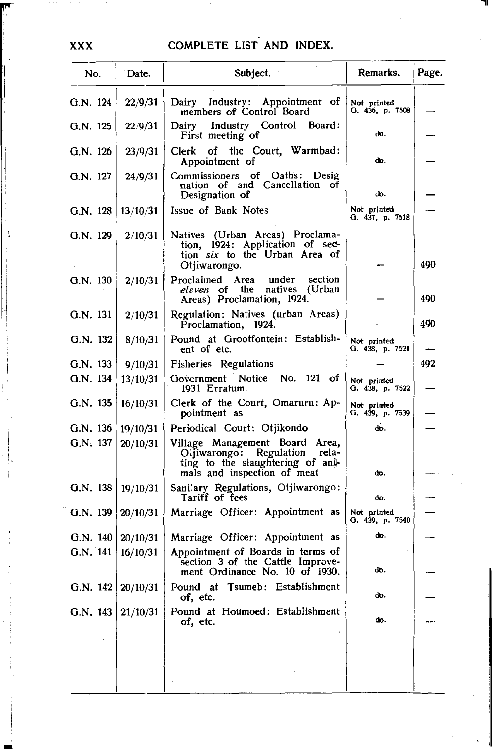| No.                      | Date.    | Subject.                                                                                                                           | Remarks.                       | Page. |
|--------------------------|----------|------------------------------------------------------------------------------------------------------------------------------------|--------------------------------|-------|
| G.N. 124                 | 22/9/31  | Appointment of<br>Dairy Industry:<br>members of Control Board                                                                      | Not printed<br>G. 436, p. 7508 |       |
| G.N. 125                 | 22/9/31  | Dairy Industry Control Board:<br>First meeting of                                                                                  | do.                            |       |
| G.N. 126                 | 23/9/31  | Clerk of the Court, Warmbad:<br>Appointment of                                                                                     | do.                            |       |
| G.N. 127                 | 24/9/31  | Commissioners of Oaths: Desig<br>nation of and Cancellation of<br>Designation of                                                   | do.                            |       |
| G.N. 128                 | 13/10/31 | Issue of Bank Notes                                                                                                                | Not printed<br>G. 437, p. 7518 |       |
| G.N. 129                 | 2/10/31  | Natives (Urban Areas) Proclama-<br>tion, 1924: Application of sec-<br>tion six to the Urban Area of<br>Otjiwarongo.                |                                | 490   |
| G.N. 130                 | 2/10/31  | Proclaimed Area<br>under<br>section<br>eleven of the natives<br>(Urban<br>Areas) Proclamation, 1924.                               |                                | 490   |
| G.N. 131                 | 2/10/31  | Regulation: Natives (urban Areas)<br>Proclamation, 1924.                                                                           |                                | 490   |
| G.N. 132                 | 8/10/31  | Pound at Grootfontein: Establish-<br>ent of etc.                                                                                   | Not printed<br>G. 438, p. 7521 |       |
| G.N. 133                 | 9/10/31  | Fisheries Regulations                                                                                                              |                                | 492   |
| G.N. 134                 | 13/10/31 | Government Notice No. 121 of<br>1931 Erratum.                                                                                      | Not printed<br>G. 438, p. 7522 |       |
| G.N. 135                 | 16/10/31 | Clerk of the Court, Omaruru: Ap-<br>pointment as                                                                                   | Not printed<br>G. 439, p. 7539 |       |
| G.N. 136                 | 19/10/31 | Periodical Court: Otjikondo                                                                                                        | do.                            |       |
| G.N. 137                 | 20/10/31 | Village Management Board Area,<br>Offiwarongo: Regulation rela-<br>ting to the slaughtering of ani-<br>mals and inspection of meat | do.                            |       |
| G.N. 138                 | 19/10/31 | Sani'ary Regulations, Otjiwarongo:<br>Tariff of fees                                                                               | do.                            |       |
| G.N. 139                 | 20/10/31 | Marriage Officer: Appointment as                                                                                                   | Not printed<br>O. 439, p. 7540 |       |
| G.N. $140 \mid 20/10/31$ |          | Marriage Officer: Appointment as                                                                                                   | do.                            |       |
| G.N. 141                 | 16/10/31 | Appointment of Boards in terms of<br>section 3 of the Cattle Improve-<br>ment Ordinance No. 10 of 1930.                            | do.                            |       |
| G.N. 142                 | 20/10/31 | Tsumeb: Establishment<br>Pound<br>at<br>of, etc.                                                                                   | do.                            |       |
| G.N. 143                 | 21/10/31 | Pound at Houmoed: Establishment<br>of, etc.                                                                                        | do.                            |       |
|                          |          |                                                                                                                                    |                                |       |
|                          |          |                                                                                                                                    |                                |       |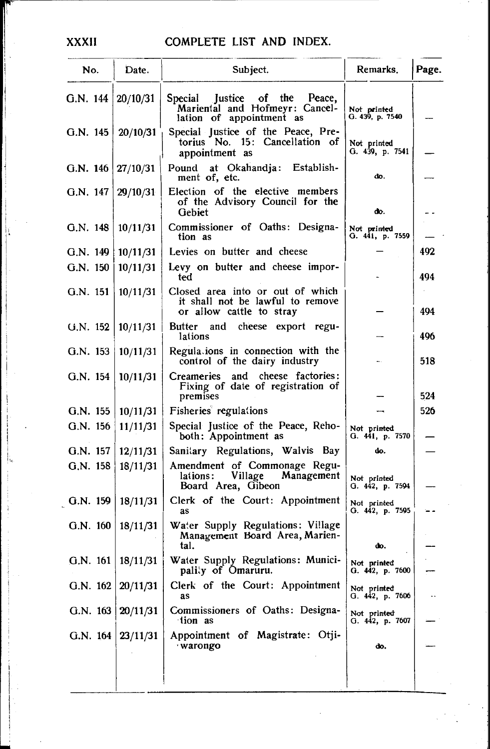|            | No.        | Date.                 | Subject.                                                                                          | Remarks.                       | Page. |
|------------|------------|-----------------------|---------------------------------------------------------------------------------------------------|--------------------------------|-------|
| G.N. 144   |            | 20/10/31              | Justice of the<br>Peace,<br>Special<br>Mariental and Hofmeyr: Cancel-<br>lation of appointment as | Not printed<br>G. 439, p. 7540 |       |
| G.N. 145   |            | 20/10/31              | Special Justice of the Peace, Pre-<br>torius No. 15: Cancellation of<br>appointment as            | Not printed<br>G. 439, p. 7541 |       |
| G.N. $146$ |            | 27/10/31              | at Okahandja:<br>Establish-<br>Pound<br>ment of, etc.                                             | do.                            |       |
| G.N. 147   |            | 29/10/31              | Election of the elective members<br>of the Advisory Council for the<br>Gebiet                     | do.                            |       |
| G.N. 148   |            | 10/11/31              | Commissioner of Oaths: Designa-<br>tion as                                                        | Not printed<br>G. 441, p. 7559 |       |
| G.N. 149   |            | 10/11/31              | Levies on butter and cheese                                                                       |                                | 492   |
| G.N. 150   |            | 10/11/31              | Levy on butter and cheese impor-<br>ted                                                           |                                | 494   |
| G.N. 151   |            | 10/11/31              | Closed area into or out of which<br>it shall not be lawful to remove<br>or allow cattle to stray  |                                | 494   |
| G.N. 152   |            | 10/11/31              | cheese export regu-<br>Butter<br>and<br>lations                                                   |                                | 496   |
| G.N. 153   |            | 10/11/31              | Regulations in connection with the<br>control of the dairy industry                               |                                | 518   |
| G.N. 154   |            | 10/11/31              | and cheese factories:<br>Creameries<br>Fixing of date of registration of<br>premises              |                                | 524   |
|            | G.N. 155   | 10/11/31              | Fisheries regulations                                                                             |                                | 526   |
| G.N. 156   |            | 11/11/31              | Special Justice of the Peace, Reho-<br>both: Appointment as                                       | Not printed<br>G. 441, p. 7570 |       |
|            | G.N. 157   | 12/11/31              | Sanitary Regulations, Walvis Bay                                                                  | do.                            |       |
|            | G.N. 158   | 18/11/31              | Amendment of Commonage Regu-<br>Village<br>Management<br>lations:<br>Board Area, Gibeon           | Not printed<br>G. 442, p. 7594 |       |
|            | G.N. 159   | 18/11/31              | Clerk of the Court: Appointment<br>as                                                             | Not printed<br>G. 442, p. 7595 |       |
|            | $G.N.$ 160 | 18/11/31              | Water Supply Regulations: Village<br>Management Board Area, Marien-<br>tal.                       | do.                            |       |
|            | G.N. 161   | 18/11/31              | Water Supply Regulations: Munici-<br>pality of Omaruru.                                           | Not printed<br>G. 442, p. 7600 |       |
|            | G.N. 162   | 20/11/31              | Clerk of the Court: Appointment<br>as                                                             | Not printed<br>G. 442, p. 7606 |       |
|            | G.N. 163   | 20/11/31              | Commissioners of Oaths: Designa-<br>tion as                                                       | Not printed<br>G. 442, p. 7607 |       |
|            |            | G.N. $164   23/11/31$ | Appointment of Magistrate: Otji-<br>warongo                                                       | do.                            |       |
|            |            |                       |                                                                                                   |                                |       |
|            |            |                       |                                                                                                   |                                |       |

XXXII